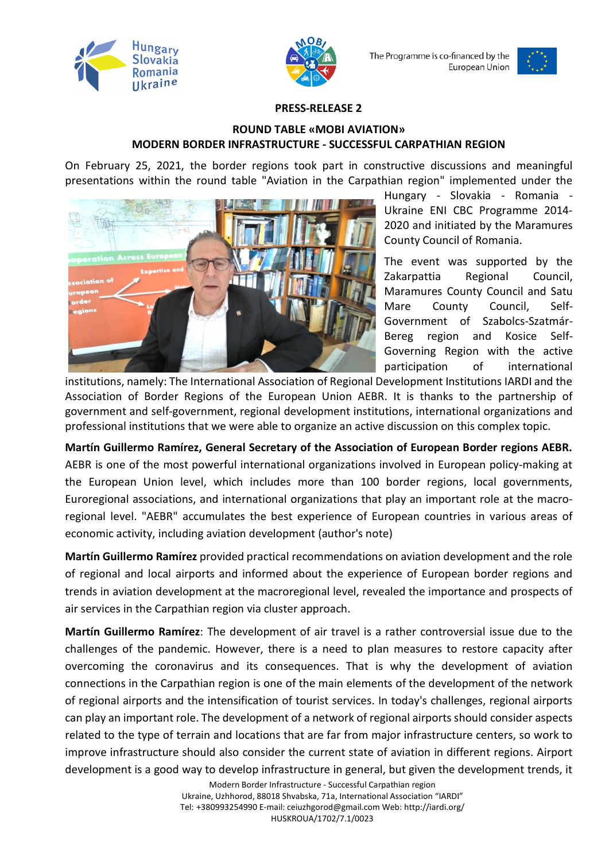



The Programme is co-financed by the European Union



## **PRESS-RELEASE 2**

## **ROUND TABLE «MOBI AVIATION» MODERN BORDER INFRASTRUCTURE - SUCCESSFUL CARPATHIAN REGION**

On February 25, 2021, the border regions took part in constructive discussions and meaningful presentations within the round table "Aviation in the Carpathian region" implemented under the



Hungary - Slovakia - Romania - Ukraine ENI CBC Programme 2014- 2020 and initiated by the Maramures County Council of Romania.

The event was supported by the Zakarpattia Regional Council, Maramures County Council and Satu Mare County Council, Self-Government of Szabolcs-Szatmár-Bereg region and Kosice Self-Governing Region with the active participation of international

institutions, namely: The International Association of Regional Development Institutions IARDI and the Association of Border Regions of the European Union AEBR. It is thanks to the partnership of government and self-government, regional development institutions, international organizations and professional institutions that we were able to organize an active discussion on this complex topic.

**Martín Guillermo Ramírez, General Secretary of the Association of European Border regions AEBR.**  AEBR is one of the most powerful international organizations involved in European policy-making at the European Union level, which includes more than 100 border regions, local governments, Euroregional associations, and international organizations that play an important role at the macroregional level. "AEBR" accumulates the best experience of European countries in various areas of economic activity, including aviation development (author's note)

**Martín Guillermo Ramírez** provided practical recommendations on aviation development and the role of regional and local airports and informed about the experience of European border regions and trends in aviation development at the macroregional level, revealed the importance and prospects of air services in the Carpathian region via cluster approach.

**Martín Guillermo Ramírez**: The development of air travel is a rather controversial issue due to the challenges of the pandemic. However, there is a need to plan measures to restore capacity after overcoming the coronavirus and its consequences. That is why the development of aviation connections in the Carpathian region is one of the main elements of the development of the network of regional airports and the intensification of tourist services. In today's challenges, regional airports can play an important role. The development of a network of regional airports should consider aspects related to the type of terrain and locations that are far from major infrastructure centers, so work to improve infrastructure should also consider the current state of aviation in different regions. Airport development is a good way to develop infrastructure in general, but given the development trends, it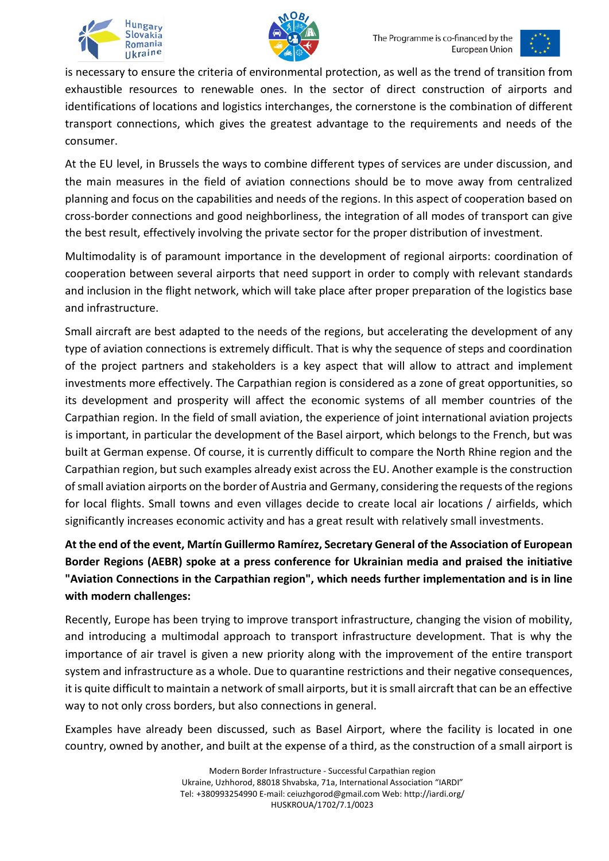





is necessary to ensure the criteria of environmental protection, as well as the trend of transition from exhaustible resources to renewable ones. In the sector of direct construction of airports and identifications of locations and logistics interchanges, the cornerstone is the combination of different transport connections, which gives the greatest advantage to the requirements and needs of the consumer.

At the EU level, in Brussels the ways to combine different types of services are under discussion, and the main measures in the field of aviation connections should be to move away from centralized planning and focus on the capabilities and needs of the regions. In this aspect of cooperation based on cross-border connections and good neighborliness, the integration of all modes of transport can give the best result, effectively involving the private sector for the proper distribution of investment.

Multimodality is of paramount importance in the development of regional airports: coordination of cooperation between several airports that need support in order to comply with relevant standards and inclusion in the flight network, which will take place after proper preparation of the logistics base and infrastructure.

Small aircraft are best adapted to the needs of the regions, but accelerating the development of any type of aviation connections is extremely difficult. That is why the sequence of steps and coordination of the project partners and stakeholders is a key aspect that will allow to attract and implement investments more effectively. The Carpathian region is considered as a zone of great opportunities, so its development and prosperity will affect the economic systems of all member countries of the Carpathian region. In the field of small aviation, the experience of joint international aviation projects is important, in particular the development of the Basel airport, which belongs to the French, but was built at German expense. Of course, it is currently difficult to compare the North Rhine region and the Carpathian region, but such examples already exist across the EU. Another example is the construction of small aviation airports on the border of Austria and Germany, considering the requests of the regions for local flights. Small towns and even villages decide to create local air locations / airfields, which significantly increases economic activity and has a great result with relatively small investments.

**At the end of the event, Martín Guillermo Ramírez, Secretary General of the Association of European Border Regions (AEBR) spoke at a press conference for Ukrainian media and praised the initiative "Aviation Connections in the Carpathian region", which needs further implementation and is in line with modern challenges:**

Recently, Europe has been trying to improve transport infrastructure, changing the vision of mobility, and introducing a multimodal approach to transport infrastructure development. That is why the importance of air travel is given a new priority along with the improvement of the entire transport system and infrastructure as a whole. Due to quarantine restrictions and their negative consequences, it is quite difficult to maintain a network of small airports, but it is small aircraft that can be an effective way to not only cross borders, but also connections in general.

Examples have already been discussed, such as Basel Airport, where the facility is located in one country, owned by another, and built at the expense of a third, as the construction of a small airport is